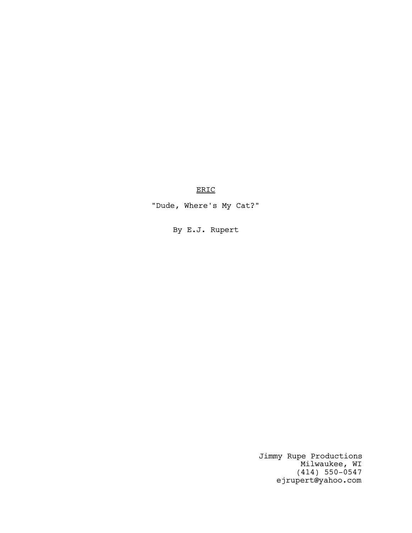# ERIC

"Dude, Where's My Cat?"

By E.J. Rupert

Jimmy Rupe Productions Milwaukee, WI (414) 550-0547 ejrupert@yahoo.com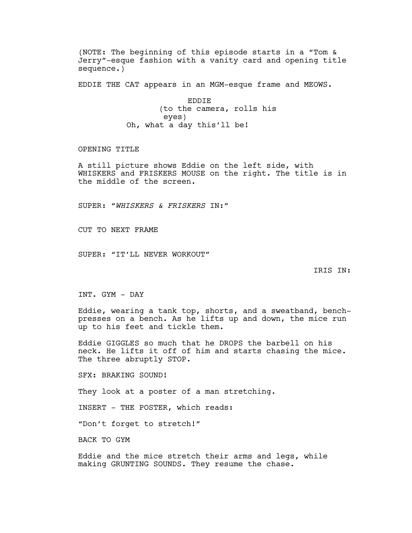(NOTE: The beginning of this episode starts in a "Tom & Jerry"-esque fashion with a vanity card and opening title sequence.)

EDDIE THE CAT appears in an MGM-esque frame and MEOWS.

EDDIE (to the camera, rolls his eyes) Oh, what a day this'll be!

OPENING TITLE

A still picture shows Eddie on the left side, with WHISKERS and FRISKERS MOUSE on the right. The title is in the middle of the screen.

SUPER: "WHISKERS & FRISKERS IN:"

CUT TO NEXT FRAME

SUPER: "IT'LL NEVER WORKOUT"

IRIS IN:

INT. GYM - DAY

Eddie, wearing a tank top, shorts, and a sweatband, benchpresses on a bench. As he lifts up and down, the mice run up to his feet and tickle them.

Eddie GIGGLES so much that he DROPS the barbell on his neck. He lifts it off of him and starts chasing the mice. The three abruptly STOP.

SFX: BRAKING SOUND!

They look at a poster of a man stretching.

INSERT - THE POSTER, which reads:

"Don't forget to stretch!"

BACK TO GYM

Eddie and the mice stretch their arms and legs, while making GRUNTING SOUNDS. They resume the chase.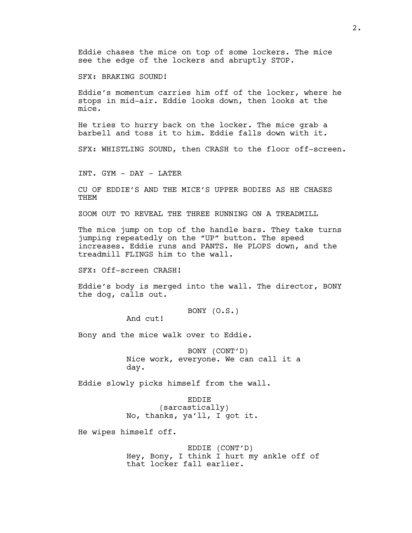Eddie chases the mice on top of some lockers. The mice see the edge of the lockers and abruptly STOP.

SFX: BRAKING SOUND!

Eddie's momentum carries him off of the locker, where he stops in mid-air. Eddie looks down, then looks at the mice.

He tries to hurry back on the locker. The mice grab a barbell and toss it to him. Eddie falls down with it.

SFX: WHISTLING SOUND, then CRASH to the floor off-screen.

INT. GYM - DAY - LATER

CU OF EDDIE'S AND THE MICE'S UPPER BODIES AS HE CHASES THEM

ZOOM OUT TO REVEAL THE THREE RUNNING ON A TREADMILL

The mice jump on top of the handle bars. They take turns jumping repeatedly on the "UP" button. The speed increases. Eddie runs and PANTS. He PLOPS down, and the treadmill FLINGS him to the wall.

SFX: Off-screen CRASH!

Eddie's body is merged into the wall. The director, BONY the dog, calls out.

BONY (O.S.)

And cut!

Bony and the mice walk over to Eddie.

BONY (CONT'D) Nice work, everyone. We can call it a day.

Eddie slowly picks himself from the wall.

EDDIE (sarcastically) No, thanks, ya'll, I got it.

He wipes himself off.

EDDIE (CONT'D) Hey, Bony, I think I hurt my ankle off of that locker fall earlier.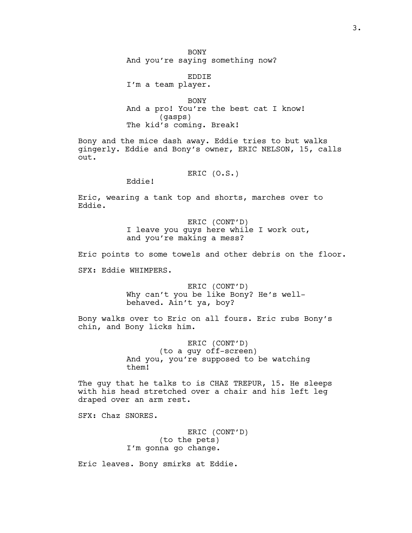**BONY** And you're saying something now?

EDDIE I'm a team player.

BONY And a pro! You're the best cat I know! (gasps) The kid's coming. Break!

Bony and the mice dash away. Eddie tries to but walks gingerly. Eddie and Bony's owner, ERIC NELSON, 15, calls out.

ERIC (O.S.)

Eddie!

Eric, wearing a tank top and shorts, marches over to Eddie.

> ERIC (CONT'D) I leave you guys here while I work out, and you're making a mess?

Eric points to some towels and other debris on the floor.

SFX: Eddie WHIMPERS.

ERIC (CONT'D) Why can't you be like Bony? He's wellbehaved. Ain't ya, boy?

Bony walks over to Eric on all fours. Eric rubs Bony's chin, and Bony licks him.

> ERIC (CONT'D) (to a guy off-screen) And you, you're supposed to be watching them!

The guy that he talks to is CHAZ TREPUR, 15. He sleeps with his head stretched over a chair and his left leg draped over an arm rest.

SFX: Chaz SNORES.

ERIC (CONT'D) (to the pets) I'm gonna go change.

Eric leaves. Bony smirks at Eddie.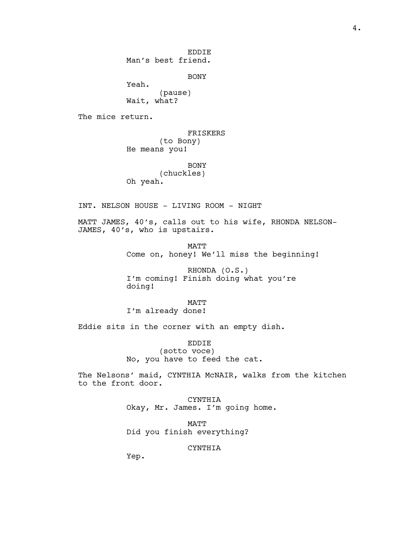EDDIE Man's best friend.

BONY

Yeah. (pause) Wait, what?

The mice return.

FRISKERS (to Bony) He means you!

BONY (chuckles) Oh yeah.

INT. NELSON HOUSE - LIVING ROOM - NIGHT

MATT JAMES, 40's, calls out to his wife, RHONDA NELSON-JAMES, 40's, who is upstairs.

> MATT Come on, honey! We'll miss the beginning!

RHONDA (O.S.) I'm coming! Finish doing what you're doing!

MATT I'm already done!

Eddie sits in the corner with an empty dish.

EDDIE (sotto voce) No, you have to feed the cat.

The Nelsons' maid, CYNTHIA McNAIR, walks from the kitchen to the front door.

> CYNTHIA Okay, Mr. James. I'm going home.

MATT Did you finish everything?

### CYNTHIA

Yep.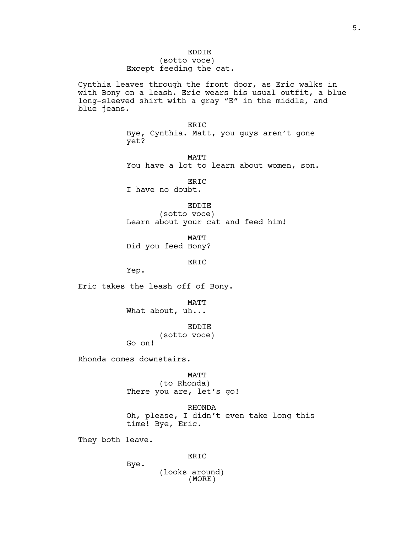Cynthia leaves through the front door, as Eric walks in with Bony on a leash. Eric wears his usual outfit, a blue long-sleeved shirt with a gray "E" in the middle, and blue jeans.

> ERIC Bye, Cynthia. Matt, you guys aren't gone yet?

MATT You have a lot to learn about women, son.

ERIC I have no doubt.

EDDIE (sotto voce) Learn about your cat and feed him!

MATT Did you feed Bony?

ERIC

Yep.

Eric takes the leash off of Bony.

MATT What about, uh...

EDDIE (sotto voce) Go on!

Rhonda comes downstairs.

Bye.

MATT (to Rhonda) There you are, let's go!

RHONDA Oh, please, I didn't even take long this time! Bye, Eric.

They both leave.

ERIC

(looks around) (MORE)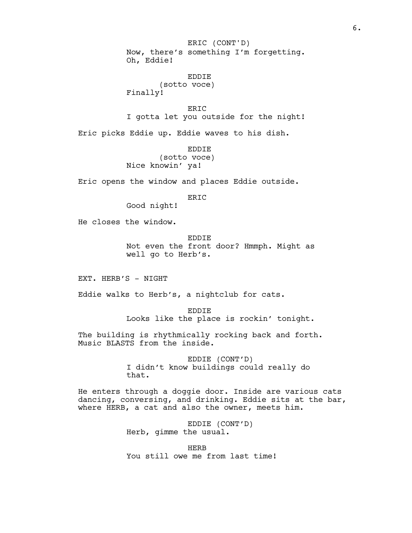Now, there's something I'm forgetting. Oh, Eddie! ERIC (CONT'D)

EDDIE (sotto voce) Finally!

ERIC I gotta let you outside for the night!

Eric picks Eddie up. Eddie waves to his dish.

EDDIE (sotto voce) Nice knowin' ya!

Eric opens the window and places Eddie outside.

ERIC

Good night!

He closes the window.

EDDIE Not even the front door? Hmmph. Might as well go to Herb's.

EXT. HERB'S - NIGHT

Eddie walks to Herb's, a nightclub for cats.

EDDIE Looks like the place is rockin' tonight.

The building is rhythmically rocking back and forth. Music BLASTS from the inside.

> EDDIE (CONT'D) I didn't know buildings could really do that.

He enters through a doggie door. Inside are various cats dancing, conversing, and drinking. Eddie sits at the bar, where HERB, a cat and also the owner, meets him.

> EDDIE (CONT'D) Herb, gimme the usual.

HERB You still owe me from last time!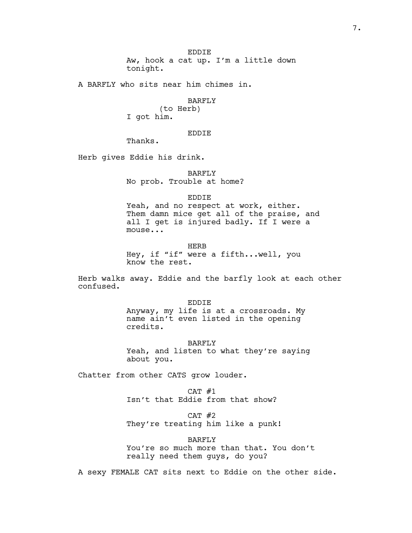A BARFLY who sits near him chimes in.

### BARFLY

(to Herb) I got him.

# EDDIE

Thanks.

Herb gives Eddie his drink.

# BARFLY No prob. Trouble at home?

#### EDDIE

Yeah, and no respect at work, either. Them damn mice get all of the praise, and all I get is injured badly. If I were a mouse...

HERB Hey, if "if" were a fifth...well, you know the rest.

Herb walks away. Eddie and the barfly look at each other confused.

> EDDIE Anyway, my life is at a crossroads. My name ain't even listed in the opening credits.

BARFLY Yeah, and listen to what they're saying about you.

Chatter from other CATS grow louder.

 $CAT$  #1 Isn't that Eddie from that show?

CAT #2 They're treating him like a punk!

BARFLY You're so much more than that. You don't really need them guys, do you?

A sexy FEMALE CAT sits next to Eddie on the other side.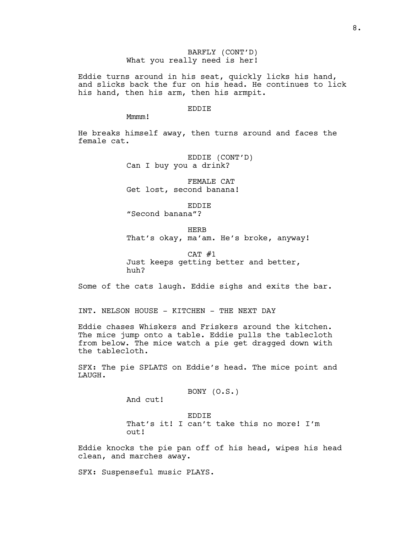BARFLY (CONT'D) What you really need is her!

Eddie turns around in his seat, quickly licks his hand, and slicks back the fur on his head. He continues to lick his hand, then his arm, then his armpit.

#### EDDIE

Mmmm!

He breaks himself away, then turns around and faces the female cat.

> EDDIE (CONT'D) Can I buy you a drink?

FEMALE CAT Get lost, second banana!

EDDIE "Second banana"?

**HERB** That's okay, ma'am. He's broke, anyway!

 $CAT$  #1 Just keeps getting better and better, huh?

Some of the cats laugh. Eddie sighs and exits the bar.

INT. NELSON HOUSE - KITCHEN - THE NEXT DAY

Eddie chases Whiskers and Friskers around the kitchen. The mice jump onto a table. Eddie pulls the tablecloth from below. The mice watch a pie get dragged down with the tablecloth.

SFX: The pie SPLATS on Eddie's head. The mice point and LAUGH.

BONY (O.S.)

And cut!

EDDIE That's it! I can't take this no more! I'm out!

Eddie knocks the pie pan off of his head, wipes his head clean, and marches away.

SFX: Suspenseful music PLAYS.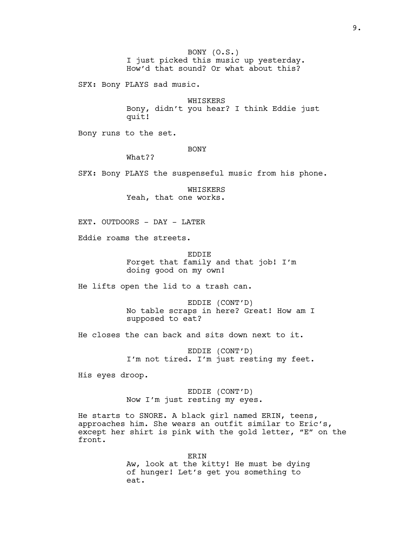BONY (O.S.) I just picked this music up yesterday. How'd that sound? Or what about this?

SFX: Bony PLAYS sad music.

WHISKERS Bony, didn't you hear? I think Eddie just quit!

Bony runs to the set.

### BONY

What??

SFX: Bony PLAYS the suspenseful music from his phone.

WHISKERS Yeah, that one works.

EXT. OUTDOORS - DAY - LATER

Eddie roams the streets.

EDDIE Forget that family and that job! I'm doing good on my own!

He lifts open the lid to a trash can.

EDDIE (CONT'D) No table scraps in here? Great! How am I supposed to eat?

He closes the can back and sits down next to it.

EDDIE (CONT'D) I'm not tired. I'm just resting my feet.

His eyes droop.

EDDIE (CONT'D) Now I'm just resting my eyes.

He starts to SNORE. A black girl named ERIN, teens, approaches him. She wears an outfit similar to Eric's, except her shirt is pink with the gold letter, "E" on the front.

> ERIN Aw, look at the kitty! He must be dying of hunger! Let's get you something to eat.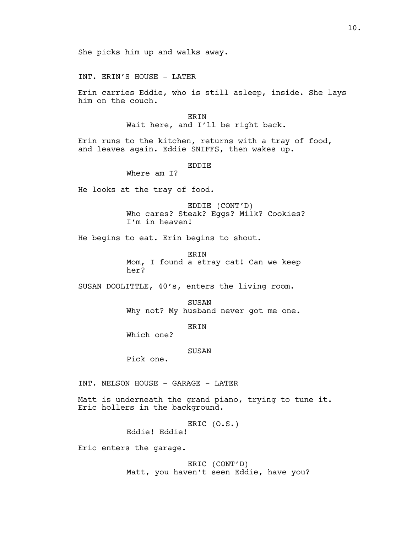INT. ERIN'S HOUSE - LATER

Erin carries Eddie, who is still asleep, inside. She lays him on the couch.

> ERIN Wait here, and I'll be right back.

Erin runs to the kitchen, returns with a tray of food, and leaves again. Eddie SNIFFS, then wakes up.

EDDIE

Where am I?

He looks at the tray of food.

EDDIE (CONT'D) Who cares? Steak? Eggs? Milk? Cookies? I'm in heaven!

He begins to eat. Erin begins to shout.

ERIN Mom, I found a stray cat! Can we keep her?

SUSAN DOOLITTLE, 40's, enters the living room.

**SUSAN** Why not? My husband never got me one.

ERIN

Which one?

### SUSAN

Pick one.

INT. NELSON HOUSE - GARAGE - LATER

Matt is underneath the grand piano, trying to tune it. Eric hollers in the background.

> ERIC (O.S.) Eddie! Eddie!

Eric enters the garage.

ERIC (CONT'D) Matt, you haven't seen Eddie, have you?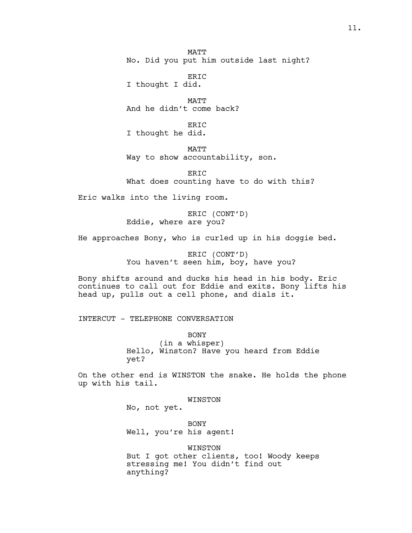**MATT** No. Did you put him outside last night?

ERIC I thought I did.

MATT And he didn't come back?

ER<sub>TC</sub> I thought he did.

MATT

Way to show accountability, son.

ER<sub>TC</sub> What does counting have to do with this?

Eric walks into the living room.

ERIC (CONT'D) Eddie, where are you?

He approaches Bony, who is curled up in his doggie bed.

ERIC (CONT'D) You haven't seen him, boy, have you?

Bony shifts around and ducks his head in his body. Eric continues to call out for Eddie and exits. Bony lifts his head up, pulls out a cell phone, and dials it.

INTERCUT - TELEPHONE CONVERSATION

BONY (in a whisper) Hello, Winston? Have you heard from Eddie yet?

On the other end is WINSTON the snake. He holds the phone up with his tail.

WINSTON

No, not yet.

BONY Well, you're his agent!

WINSTON

But I got other clients, too! Woody keeps stressing me! You didn't find out anything?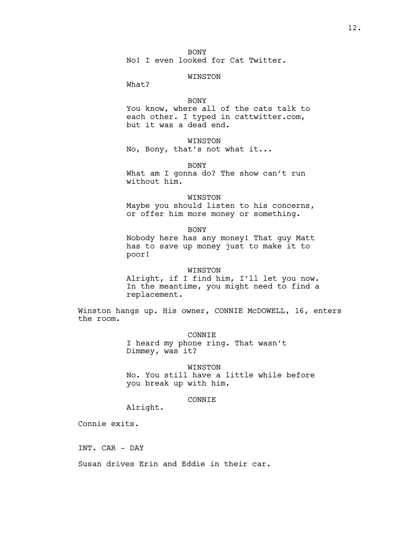BONY

No! I even looked for Cat Twitter.

#### WINSTON

What?

### BONY

You know, where all of the cats talk to each other. I typed in cattwitter.com, but it was a dead end.

# WINSTON

No, Bony, that's not what it...

BONY

What am I gonna do? The show can't run without him.

#### WINSTON

Maybe you should listen to his concerns, or offer him more money or something.

BONY

Nobody here has any money! That guy Matt has to save up money just to make it to poor!

### WINSTON

Alright, if I find him, I'll let you now. In the meantime, you might need to find a replacement.

Winston hangs up. His owner, CONNIE McDOWELL, 16, enters the room.

> CONNIE I heard my phone ring. That wasn't Dimmey, was it?

WINSTON No. You still have a little while before you break up with him.

## CONNIE

Alright.

Connie exits.

INT. CAR - DAY

Susan drives Erin and Eddie in their car.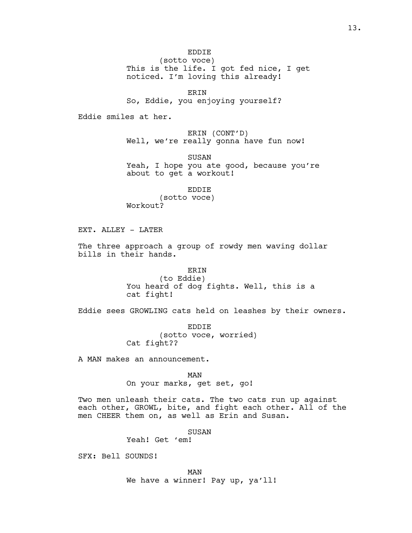(sotto voce) This is the life. I got fed nice, I get noticed. I'm loving this already!

ERIN So, Eddie, you enjoying yourself?

Eddie smiles at her.

ERIN (CONT'D) Well, we're really gonna have fun now!

SUSAN Yeah, I hope you ate good, because you're about to get a workout!

EDDIE (sotto voce) Workout?

EXT. ALLEY - LATER

The three approach a group of rowdy men waving dollar bills in their hands.

> ERIN (to Eddie) You heard of dog fights. Well, this is a cat fight!

Eddie sees GROWLING cats held on leashes by their owners.

EDDIE (sotto voce, worried) Cat fight??

A MAN makes an announcement.

MAN On your marks, get set, go!

Two men unleash their cats. The two cats run up against each other, GROWL, bite, and fight each other. All of the men CHEER them on, as well as Erin and Susan.

SUSAN

Yeah! Get 'em!

SFX: Bell SOUNDS!

MAN

We have a winner! Pay up, ya'll!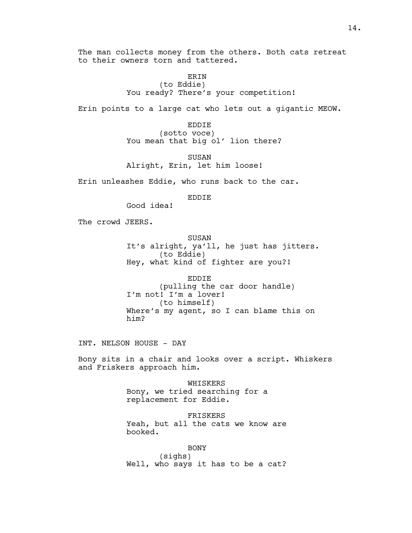The man collects money from the others. Both cats retreat to their owners torn and tattered.

# **ERIN** (to Eddie) You ready? There's your competition!

Erin points to a large cat who lets out a gigantic MEOW.

EDDIE (sotto voce) You mean that big ol' lion there?

SUSAN Alright, Erin, let him loose!

Erin unleashes Eddie, who runs back to the car.

EDDIE

Good idea!

The crowd JEERS.

SUSAN It's alright, ya'll, he just has jitters. (to Eddie) Hey, what kind of fighter are you?!

EDDIE (pulling the car door handle) I'm not! I'm a lover! (to himself) Where's my agent, so I can blame this on him?

INT. NELSON HOUSE - DAY

Bony sits in a chair and looks over a script. Whiskers and Friskers approach him.

> WHISKERS Bony, we tried searching for a replacement for Eddie.

FRISKERS Yeah, but all the cats we know are booked.

BONY (sighs) Well, who says it has to be a cat?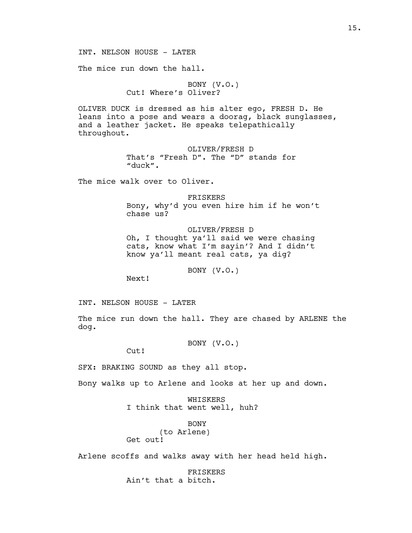INT. NELSON HOUSE - LATER

The mice run down the hall.

BONY (V.O.) Cut! Where's Oliver?

OLIVER DUCK is dressed as his alter ego, FRESH D. He leans into a pose and wears a doorag, black sunglasses, and a leather jacket. He speaks telepathically throughout.

> OLIVER/FRESH D That's "Fresh D". The "D" stands for "duck".

The mice walk over to Oliver.

FRISKERS Bony, why'd you even hire him if he won't chase us?

OLIVER/FRESH D Oh, I thought ya'll said we were chasing cats, know what I'm sayin'? And I didn't know ya'll meant real cats, ya dig?

BONY (V.O.)

Next!

INT. NELSON HOUSE - LATER

The mice run down the hall. They are chased by ARLENE the dog.

BONY (V.O.)

Cut!

SFX: BRAKING SOUND as they all stop.

Bony walks up to Arlene and looks at her up and down.

WHISKERS I think that went well, huh?

BONY

(to Arlene) Get out!

Arlene scoffs and walks away with her head held high.

FRISKERS Ain't that a bitch.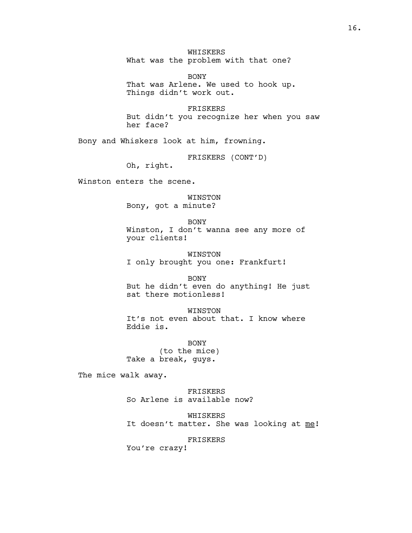WHISKERS What was the problem with that one?

BONY That was Arlene. We used to hook up. Things didn't work out.

FRISKERS But didn't you recognize her when you saw her face?

Bony and Whiskers look at him, frowning.

FRISKERS (CONT'D)

Oh, right.

Winston enters the scene.

WINSTON Bony, got a minute?

BONY Winston, I don't wanna see any more of your clients!

WINSTON I only brought you one: Frankfurt!

BONY But he didn't even do anything! He just sat there motionless!

WINSTON It's not even about that. I know where Eddie is.

BONY (to the mice) Take a break, guys.

The mice walk away.

FRISKERS So Arlene is available now?

WHISKERS It doesn't matter. She was looking at me!

FRISKERS

You're crazy!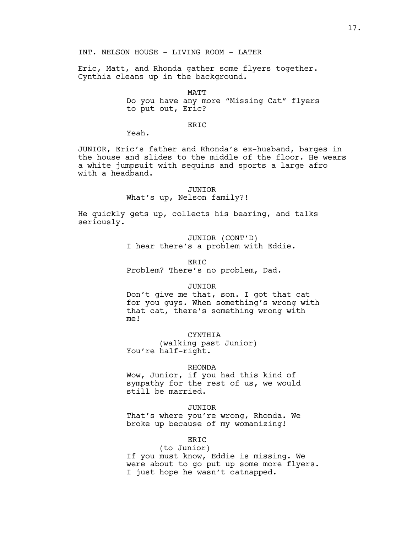Eric, Matt, and Rhonda gather some flyers together. Cynthia cleans up in the background.

### MATT

Do you have any more "Missing Cat" flyers to put out, Eric?

### ER<sub>TC</sub>

Yeah.

JUNIOR, Eric's father and Rhonda's ex-husband, barges in the house and slides to the middle of the floor. He wears a white jumpsuit with sequins and sports a large afro with a headband.

#### JUNIOR

#### What's up, Nelson family?!

He quickly gets up, collects his bearing, and talks seriously.

> JUNIOR (CONT'D) I hear there's a problem with Eddie.

#### ERIC

Problem? There's no problem, Dad.

#### JUNIOR

Don't give me that, son. I got that cat for you guys. When something's wrong with that cat, there's something wrong with me!

CYNTHIA

(walking past Junior) You're half-right.

#### RHONDA

Wow, Junior, if you had this kind of sympathy for the rest of us, we would still be married.

#### JUNIOR

That's where you're wrong, Rhonda. We broke up because of my womanizing!

# ERIC

(to Junior) If you must know, Eddie is missing. We were about to go put up some more flyers. I just hope he wasn't catnapped.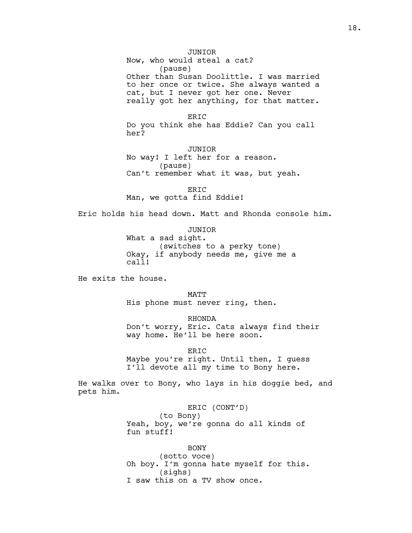Now, who would steal a cat? (pause) Other than Susan Doolittle. I was married to her once or twice. She always wanted a cat, but I never got her one. Never really got her anything, for that matter.

ERIC Do you think she has Eddie? Can you call her?

JUNIOR No way! I left her for a reason. (pause) Can't remember what it was, but yeah.

ERIC Man, we gotta find Eddie!

Eric holds his head down. Matt and Rhonda console him.

JUNIOR What a sad sight. (switches to a perky tone) Okay, if anybody needs me, give me a call!

He exits the house.

MATT His phone must never ring, then.

RHONDA Don't worry, Eric. Cats always find their way home. He'll be here soon.

ERIC Maybe you're right. Until then, I guess I'll devote all my time to Bony here.

He walks over to Bony, who lays in his doggie bed, and pets him.

> ERIC (CONT'D) (to Bony) Yeah, boy, we're gonna do all kinds of fun stuff!

BONY (sotto voce) Oh boy. I'm gonna hate myself for this. (sighs) I saw this on a TV show once.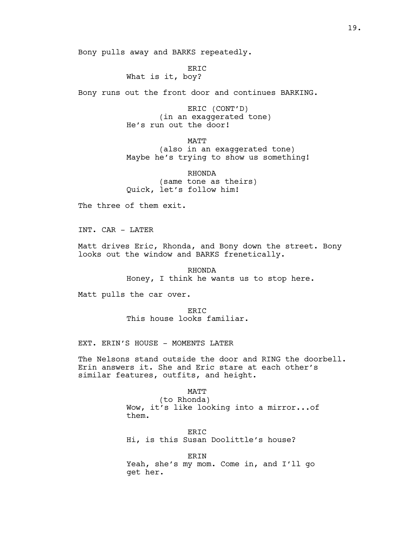Bony pulls away and BARKS repeatedly.

ERIC What is it, boy?

Bony runs out the front door and continues BARKING.

ERIC (CONT'D) (in an exaggerated tone) He's run out the door!

MATT (also in an exaggerated tone) Maybe he's trying to show us something!

RHONDA (same tone as theirs) Quick, let's follow him!

The three of them exit.

INT. CAR - LATER

Matt drives Eric, Rhonda, and Bony down the street. Bony looks out the window and BARKS frenetically.

> RHONDA Honey, I think he wants us to stop here.

Matt pulls the car over.

ER<sub>TC</sub> This house looks familiar.

EXT. ERIN'S HOUSE - MOMENTS LATER

The Nelsons stand outside the door and RING the doorbell. Erin answers it. She and Eric stare at each other's similar features, outfits, and height.

MATT

(to Rhonda) Wow, it's like looking into a mirror...of them.

ERIC Hi, is this Susan Doolittle's house?

ERIN Yeah, she's my mom. Come in, and I'll go get her.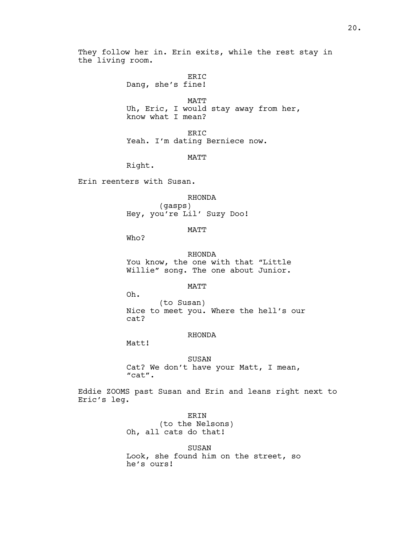They follow her in. Erin exits, while the rest stay in the living room.

> ERIC Dang, she's fine!

MATT Uh, Eric, I would stay away from her, know what I mean?

ERIC Yeah. I'm dating Berniece now.

MATT

Right.

Erin reenters with Susan.

RHONDA

(gasps) Hey, you're Lil' Suzy Doo!

MATT

Who?

RHONDA You know, the one with that "Little Willie" song. The one about Junior.

**MATT** 

Oh. (to Susan) Nice to meet you. Where the hell's our cat?

# RHONDA

Matt!

#### SUSAN

Cat? We don't have your Matt, I mean, "cat".

Eddie ZOOMS past Susan and Erin and leans right next to Eric's leg.

> ERIN (to the Nelsons) Oh, all cats do that!

> > SUSAN

Look, she found him on the street, so he's ours!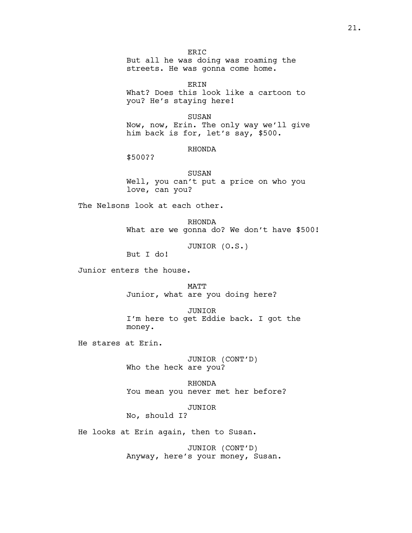ERIC But all he was doing was roaming the streets. He was gonna come home.

ERIN What? Does this look like a cartoon to you? He's staying here!

SUSAN Now, now, Erin. The only way we'll give him back is for, let's say, \$500.

### RHONDA

\$500??

SUSAN Well, you can't put a price on who you love, can you?

The Nelsons look at each other.

RHONDA What are we gonna do? We don't have \$500!

JUNIOR (O.S.)

But I do!

Junior enters the house.

MATT Junior, what are you doing here?

JUNIOR I'm here to get Eddie back. I got the money.

He stares at Erin.

JUNIOR (CONT'D) Who the heck are you?

RHONDA You mean you never met her before?

JUNIOR

No, should I?

He looks at Erin again, then to Susan.

JUNIOR (CONT'D) Anyway, here's your money, Susan.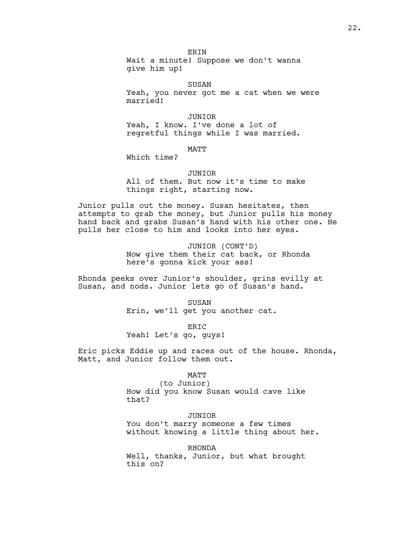**ERIN** Wait a minute! Suppose we don't wanna give him up!

SUSAN Yeah, you never got me a cat when we were married!

### JUNIOR

Yeah, I know. I've done a lot of regretful things while I was married.

MATT

Which time?

#### JUNIOR

All of them. But now it's time to make things right, starting now.

Junior pulls out the money. Susan hesitates, then attempts to grab the money, but Junior pulls his money hand back and grabs Susan's hand with his other one. He pulls her close to him and looks into her eyes.

> JUNIOR (CONT'D) Now give them their cat back, or Rhonda here's gonna kick your ass!

Rhonda peeks over Junior's shoulder, grins evilly at Susan, and nods. Junior lets go of Susan's hand.

> **SUSAN** Erin, we'll get you another cat.

ERIC Yeah! Let's go, guys!

Eric picks Eddie up and races out of the house. Rhonda, Matt, and Junior follow them out.

#### MATT

(to Junior) How did you know Susan would cave like that?

JUNIOR You don't marry someone a few times without knowing a little thing about her.

RHONDA

Well, thanks, Junior, but what brought this on?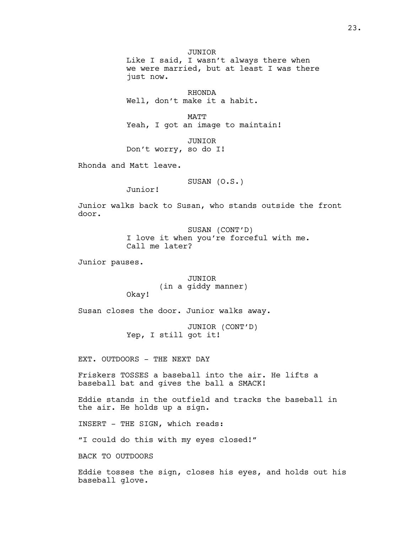JUNIOR Like I said, I wasn't always there when we were married, but at least I was there just now.

RHONDA Well, don't make it a habit.

MATT Yeah, I got an image to maintain!

JUNIOR Don't worry, so do I!

Rhonda and Matt leave.

SUSAN (O.S.)

Junior!

Junior walks back to Susan, who stands outside the front door.

> SUSAN (CONT'D) I love it when you're forceful with me. Call me later?

Junior pauses.

JUNIOR (in a giddy manner) Okay!

Susan closes the door. Junior walks away.

JUNIOR (CONT'D) Yep, I still got it!

EXT. OUTDOORS - THE NEXT DAY

Friskers TOSSES a baseball into the air. He lifts a baseball bat and gives the ball a SMACK!

Eddie stands in the outfield and tracks the baseball in the air. He holds up a sign.

INSERT - THE SIGN, which reads:

"I could do this with my eyes closed!"

BACK TO OUTDOORS

Eddie tosses the sign, closes his eyes, and holds out his baseball glove.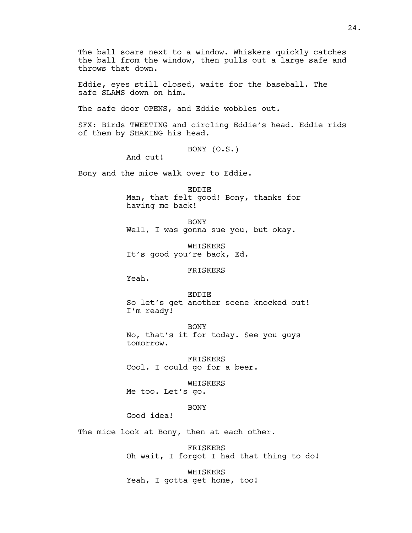The ball soars next to a window. Whiskers quickly catches the ball from the window, then pulls out a large safe and throws that down.

Eddie, eyes still closed, waits for the baseball. The safe SLAMS down on him.

The safe door OPENS, and Eddie wobbles out.

SFX: Birds TWEETING and circling Eddie's head. Eddie rids of them by SHAKING his head.

BONY (O.S.)

And cut!

Bony and the mice walk over to Eddie.

EDDIE Man, that felt good! Bony, thanks for having me back!

BONY Well, I was gonna sue you, but okay.

WHISKERS It's good you're back, Ed.

# FRISKERS

Yeah.

# EDDIE So let's get another scene knocked out! I'm ready!

BONY No, that's it for today. See you guys tomorrow.

FRISKERS Cool. I could go for a beer.

WHISKERS Me too. Let's go.

BONY

Good idea!

The mice look at Bony, then at each other.

FRISKERS Oh wait, I forgot I had that thing to do!

WHISKERS Yeah, I gotta get home, too!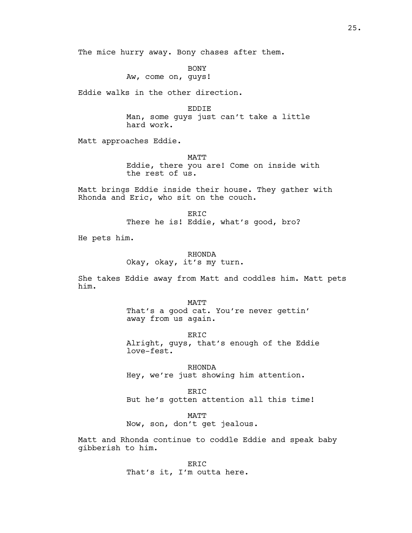The mice hurry away. Bony chases after them.

BONY Aw, come on, guys!

Eddie walks in the other direction.

EDDIE Man, some guys just can't take a little hard work.

Matt approaches Eddie.

MATT Eddie, there you are! Come on inside with the rest of us.

Matt brings Eddie inside their house. They gather with Rhonda and Eric, who sit on the couch.

> ER<sub>TC</sub> There he is! Eddie, what's good, bro?

He pets him.

RHONDA Okay, okay, it's my turn.

She takes Eddie away from Matt and coddles him. Matt pets him.

> MATT That's a good cat. You're never gettin' away from us again.

ERIC Alright, guys, that's enough of the Eddie love-fest.

RHONDA Hey, we're just showing him attention.

ERIC But he's gotten attention all this time!

MATT Now, son, don't get jealous.

Matt and Rhonda continue to coddle Eddie and speak baby gibberish to him.

> ERIC That's it, I'm outta here.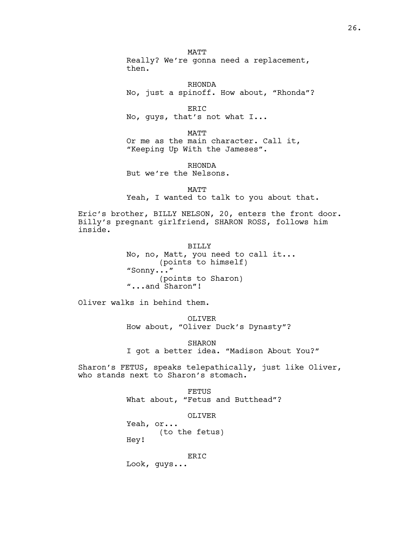**MATT** Really? We're gonna need a replacement, then.

RHONDA No, just a spinoff. How about, "Rhonda"?

ERIC No, guys, that's not what I...

MATT Or me as the main character. Call it, "Keeping Up With the Jameses".

RHONDA But we're the Nelsons.

MATT Yeah, I wanted to talk to you about that.

Eric's brother, BILLY NELSON, 20, enters the front door. Billy's pregnant girlfriend, SHARON ROSS, follows him inside.

> BILLY No, no, Matt, you need to call it... (points to himself) "Sonny..." (points to Sharon) "...and Sharon"!

Oliver walks in behind them.

OLIVER How about, "Oliver Duck's Dynasty"?

SHARON I got a better idea. "Madison About You?"

Sharon's FETUS, speaks telepathically, just like Oliver, who stands next to Sharon's stomach.

> **FETUS** What about, "Fetus and Butthead"?

OLIVER Yeah, or... (to the fetus) Hey!

ERIC Look, guys...